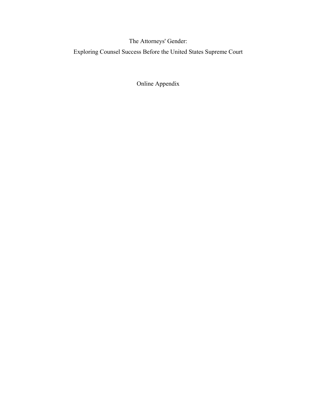The Attorneys' Gender:

Exploring Counsel Success Before the United States Supreme Court

Online Appendix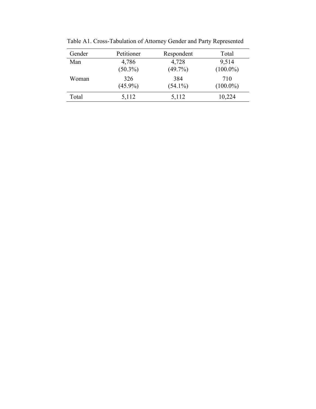| Gender | Petitioner          | Respondent          | Total                |
|--------|---------------------|---------------------|----------------------|
| Man    | 4,786<br>$(50.3\%)$ | 4,728<br>$(49.7\%)$ | 9,514<br>$(100.0\%)$ |
| Woman  | 326                 | 384                 | 710                  |
|        | $(45.9\%)$          | $(54.1\%)$          | $(100.0\%)$          |
| Total  | 5,112               | 5,112               | 10,224               |

Table A1. Cross-Tabulation of Attorney Gender and Party Represented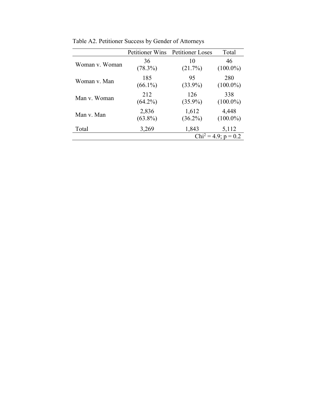|                | <b>Petitioner Wins</b> | <b>Petitioner Loses</b> | Total                   |
|----------------|------------------------|-------------------------|-------------------------|
| Woman v. Woman | 36                     | 10                      | 46                      |
|                | $(78.3\%)$             | (21.7%)                 | $(100.0\%)$             |
| Woman v. Man   | 185                    | 95                      | 280                     |
|                | $(66.1\%)$             | $(33.9\%)$              | $(100.0\%)$             |
| Man v. Woman   | 212                    | 126                     | 338                     |
|                | $(64.2\%)$             | $(35.9\%)$              | $(100.0\%)$             |
| Man v. Man     | 2,836                  | 1,612                   | 4,448                   |
|                | $(63.8\%)$             | $(36.2\%)$              | $(100.0\%)$             |
| Total          | 3,269                  | 1,843                   | 5,112                   |
|                |                        |                         | $Chi^2 = 4.9$ ; p = 0.2 |

Table A2. Petitioner Success by Gender of Attorneys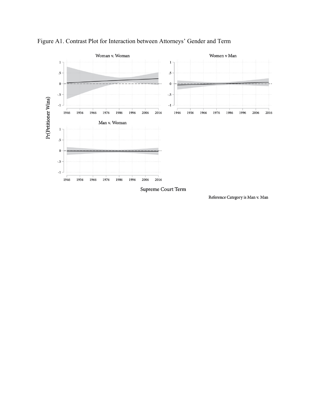

Figure A1. Contrast Plot for Interaction between Attorneys' Gender and Term

Supreme Court Term

Reference Category is Man v. Man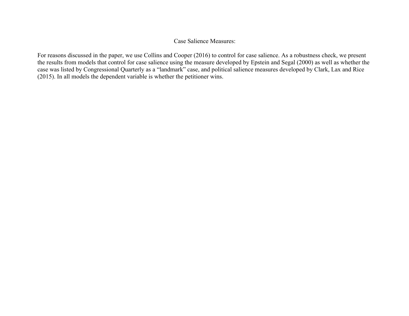## Case Salience Measures:

For reasons discussed in the paper, we use Collins and Cooper (2016) to control for case salience. As a robustness check, we present the results from models that control for case salience using the measure developed by Epstein and Segal (2000) as well as whether the case was listed by Congressional Quarterly as a "landmark" case, and political salience measures developed by Clark, Lax and Rice (2015). In all models the dependent variable is whether the petitioner wins.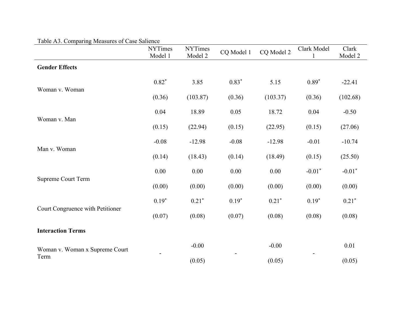| raole <i>Flo.</i> Comparing incasures or case banence | <b>NYTimes</b><br>Model 1 | <b>NYTimes</b><br>Model 2 | CQ Model 1 | CQ Model 2 | Clark Model<br>1 | Clark<br>Model 2 |
|-------------------------------------------------------|---------------------------|---------------------------|------------|------------|------------------|------------------|
| <b>Gender Effects</b>                                 |                           |                           |            |            |                  |                  |
|                                                       | $0.82*$                   | 3.85                      | $0.83*$    | 5.15       | $0.89*$          | $-22.41$         |
| Woman v. Woman                                        | (0.36)                    | (103.87)                  | (0.36)     | (103.37)   | (0.36)           | (102.68)         |
|                                                       | 0.04                      | 18.89                     | 0.05       | 18.72      | 0.04             | $-0.50$          |
| Woman v. Man                                          | (0.15)                    | (22.94)                   | (0.15)     | (22.95)    | (0.15)           | (27.06)          |
|                                                       | $-0.08$                   | $-12.98$                  | $-0.08$    | $-12.98$   | $-0.01$          | $-10.74$         |
| Man v. Woman                                          | (0.14)                    | (18.43)                   | (0.14)     | (18.49)    | (0.15)           | (25.50)          |
|                                                       | 0.00                      | 0.00                      | 0.00       | 0.00       | $-0.01*$         | $-0.01*$         |
| <b>Supreme Court Term</b>                             | (0.00)                    | (0.00)                    | (0.00)     | (0.00)     | (0.00)           | (0.00)           |
|                                                       | $0.19*$                   | $0.21*$                   | $0.19*$    | $0.21*$    | $0.19*$          | $0.21*$          |
| Court Congruence with Petitioner                      | (0.07)                    | (0.08)                    | (0.07)     | (0.08)     | (0.08)           | (0.08)           |
| <b>Interaction Terms</b>                              |                           |                           |            |            |                  |                  |
| Woman v. Woman x Supreme Court                        |                           | $-0.00$                   |            | $-0.00$    |                  | 0.01             |
| Term                                                  |                           | (0.05)                    |            | (0.05)     |                  | (0.05)           |

## Table A3. Comparing Measures of Case Salience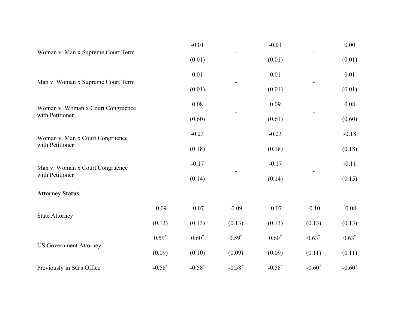|                                   |          | $-0.01$  |          | $-0.01$  |          | 0.00     |
|-----------------------------------|----------|----------|----------|----------|----------|----------|
| Woman v. Man x Supreme Court Term |          | (0.01)   |          | (0.01)   |          | (0.01)   |
|                                   |          | 0.01     |          | 0.01     |          | 0.01     |
| Man v. Woman x Supreme Court Term |          | (0.01)   |          | (0.01)   |          | (0.01)   |
| Woman v. Woman x Court Congruence |          | 0.08     |          | 0.09     |          | 0.08     |
| with Petitioner                   |          | (0.60)   |          | (0.61)   |          | (0.60)   |
| Woman v. Man x Court Congruence   |          | $-0.23$  |          | $-0.23$  |          | $-0.18$  |
| with Petitioner                   |          | (0.18)   |          | (0.18)   |          | (0.18)   |
| Man v. Woman x Court Congruence   |          | $-0.17$  |          | $-0.17$  |          | $-0.11$  |
| with Petitioner                   |          | (0.14)   |          | (0.14)   |          | (0.15)   |
| <b>Attorney Status</b>            |          |          |          |          |          |          |
| <b>State Attorney</b>             | $-0.09$  | $-0.07$  | $-0.09$  | $-0.07$  | $-0.10$  | $-0.08$  |
|                                   | (0.13)   | (0.13)   | (0.13)   | (0.13)   | (0.13)   | (0.13)   |
| <b>US Government Attorney</b>     | $0.59*$  | $0.60*$  | $0.59*$  | $0.60*$  | $0.63*$  | $0.63*$  |
|                                   | (0.09)   | (0.10)   | (0.09)   | (0.09)   | (0.11)   | (0.11)   |
| Previously in SG's Office         | $-0.58*$ | $-0.58*$ | $-0.58*$ | $-0.58*$ | $-0.60*$ | $-0.60*$ |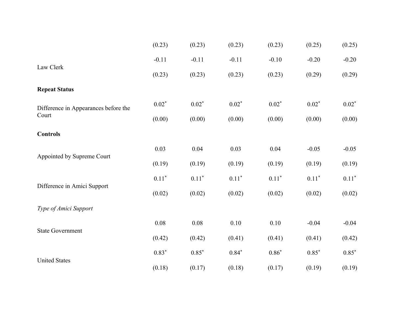|                                      | (0.23)        | (0.23)   | (0.23)  | (0.23)  | (0.25)  | (0.25)  |
|--------------------------------------|---------------|----------|---------|---------|---------|---------|
|                                      | $-0.11$       | $-0.11$  | $-0.11$ | $-0.10$ | $-0.20$ | $-0.20$ |
| Law Clerk                            | (0.23)        | (0.23)   | (0.23)  | (0.23)  | (0.29)  | (0.29)  |
| <b>Repeat Status</b>                 |               |          |         |         |         |         |
| Difference in Appearances before the | $0.02*$       | $0.02*$  | $0.02*$ | $0.02*$ | $0.02*$ | $0.02*$ |
| Court                                | (0.00)        | (0.00)   | (0.00)  | (0.00)  | (0.00)  | (0.00)  |
| <b>Controls</b>                      |               |          |         |         |         |         |
|                                      | 0.03          | 0.04     | 0.03    | 0.04    | $-0.05$ | $-0.05$ |
| Appointed by Supreme Court           | (0.19)        | (0.19)   | (0.19)  | (0.19)  | (0.19)  | (0.19)  |
|                                      | $0.11^{\ast}$ | $0.11*$  | $0.11*$ | $0.11*$ | $0.11*$ | $0.11*$ |
| Difference in Amici Support          | (0.02)        | (0.02)   | (0.02)  | (0.02)  | (0.02)  | (0.02)  |
| Type of Amici Support                |               |          |         |         |         |         |
|                                      | $0.08\,$      | $0.08\,$ | 0.10    | 0.10    | $-0.04$ | $-0.04$ |
| <b>State Government</b>              | (0.42)        | (0.42)   | (0.41)  | (0.41)  | (0.41)  | (0.42)  |
|                                      | $0.83*$       | $0.85*$  | $0.84*$ | $0.86*$ | $0.85*$ | $0.85*$ |
| <b>United States</b>                 | (0.18)        | (0.17)   | (0.18)  | (0.17)  | (0.19)  | (0.19)  |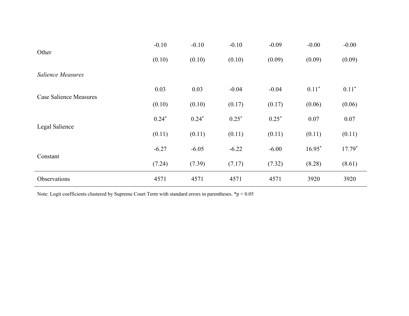|                        | $-0.10$ | $-0.10$ | $-0.10$ | $-0.09$ | $-0.00$  | $-0.00$  |
|------------------------|---------|---------|---------|---------|----------|----------|
| Other                  | (0.10)  | (0.10)  | (0.10)  | (0.09)  | (0.09)   | (0.09)   |
| Salience Measures      |         |         |         |         |          |          |
| Case Salience Measures | 0.03    | 0.03    | $-0.04$ | $-0.04$ | $0.11*$  | $0.11*$  |
|                        | (0.10)  | (0.10)  | (0.17)  | (0.17)  | (0.06)   | (0.06)   |
|                        | $0.24*$ | $0.24*$ | $0.25*$ | $0.25*$ | 0.07     | 0.07     |
| Legal Salience         | (0.11)  | (0.11)  | (0.11)  | (0.11)  | (0.11)   | (0.11)   |
|                        | $-6.27$ | $-6.05$ | $-6.22$ | $-6.00$ | $16.95*$ | $17.79*$ |
| Constant               | (7.24)  | (7.39)  | (7.17)  | (7.32)  | (8.28)   | (8.61)   |
| Observations           | 4571    | 4571    | 4571    | 4571    | 3920     | 3920     |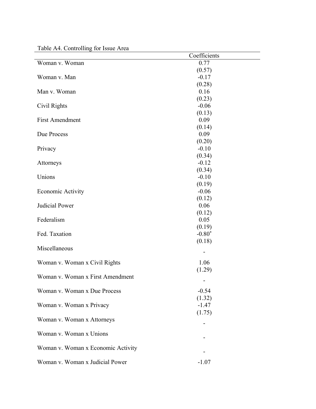|                                    | Coefficients |
|------------------------------------|--------------|
| Woman v. Woman                     | 0.77         |
|                                    | (0.57)       |
| Woman v. Man                       | $-0.17$      |
|                                    | (0.28)       |
| Man v. Woman                       | 0.16         |
|                                    | (0.23)       |
| Civil Rights                       | $-0.06$      |
|                                    | (0.13)       |
| <b>First Amendment</b>             | 0.09         |
|                                    | (0.14)       |
| Due Process                        | 0.09         |
|                                    | (0.20)       |
| Privacy                            | $-0.10$      |
|                                    | (0.34)       |
| Attorneys                          | $-0.12$      |
|                                    | (0.34)       |
| Unions                             | $-0.10$      |
|                                    | (0.19)       |
| Economic Activity                  | $-0.06$      |
|                                    | (0.12)       |
| Judicial Power                     | 0.06         |
|                                    | (0.12)       |
| Federalism                         | 0.05         |
|                                    | (0.19)       |
| Fed. Taxation                      | $-0.80*$     |
|                                    | (0.18)       |
| Miscellaneous                      |              |
|                                    |              |
| Woman v. Woman x Civil Rights      | 1.06         |
| Woman v. Woman x First Amendment   | (1.29)       |
|                                    | -            |
| Woman v. Woman x Due Process       | $-0.54$      |
|                                    | (1.32)       |
| Woman v. Woman x Privacy           | $-1.47$      |
|                                    | (1.75)       |
| Woman v. Woman x Attorneys         |              |
|                                    |              |
| Woman v. Woman x Unions            |              |
|                                    |              |
| Woman v. Woman x Economic Activity |              |
|                                    |              |
| Woman v. Woman x Judicial Power    | $-1.07$      |

Table A4. Controlling for Issue Area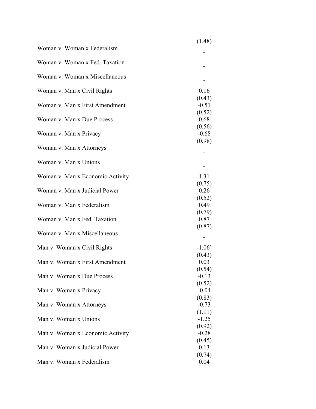|                                  | (1.48)            |
|----------------------------------|-------------------|
| Woman v. Woman x Federalism      |                   |
| Woman v. Woman x Fed. Taxation   |                   |
| Woman v. Woman x Miscellaneous   |                   |
| Woman v. Man x Civil Rights      | 0.16              |
| Woman v. Man x First Amendment   | (0.43)<br>$-0.51$ |
| Woman v. Man x Due Process       | (0.52)<br>0.68    |
| Woman v. Man x Privacy           | (0.56)<br>$-0.68$ |
| Woman v. Man x Attorneys         | (0.98)            |
| Woman v. Man x Unions            |                   |
| Woman v. Man x Economic Activity | 1.31              |
| Woman v. Man x Judicial Power    | (0.75)<br>0.26    |
| Woman v. Man x Federalism        | (0.52)<br>0.49    |
| Woman v. Man x Fed. Taxation     | (0.79)<br>0.87    |
| Woman v. Man x Miscellaneous     | (0.87)            |
| Man v. Woman x Civil Rights      | $-1.06*$          |
| Man v. Woman x First Amendment   | (0.43)<br>0.03    |
| Man v. Woman x Due Process       | (0.54)<br>$-0.13$ |
| Man v. Woman x Privacy           | (0.52)<br>$-0.04$ |
| Man v. Woman x Attorneys         | (0.83)<br>$-0.73$ |
| Man v. Woman x Unions            | (1.11)<br>$-1.25$ |
| Man v. Woman x Economic Activity | (0.92)<br>$-0.28$ |
| Man v. Woman x Judicial Power    | (0.45)<br>0.13    |
| Man v. Woman x Federalism        | (0.74)<br>0.04    |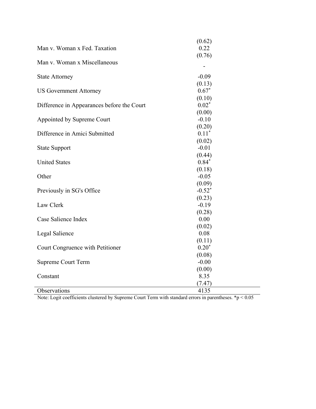|                                            | (0.62)                   |
|--------------------------------------------|--------------------------|
| Man v. Woman x Fed. Taxation               | 0.22                     |
|                                            | (0.76)                   |
| Man v. Woman x Miscellaneous               |                          |
|                                            | $\overline{\phantom{a}}$ |
| <b>State Attorney</b>                      | $-0.09$                  |
|                                            | (0.13)                   |
| <b>US Government Attorney</b>              | $0.67*$                  |
|                                            | (0.10)                   |
| Difference in Appearances before the Court | $0.02*$                  |
|                                            | (0.00)                   |
| Appointed by Supreme Court                 | $-0.10$                  |
|                                            | (0.20)                   |
| Difference in Amici Submitted              | $0.11*$                  |
|                                            | (0.02)                   |
| <b>State Support</b>                       | $-0.01$                  |
|                                            | (0.44)                   |
| <b>United States</b>                       | $0.84*$                  |
|                                            | (0.18)                   |
| Other                                      | $-0.05$                  |
|                                            | (0.09)                   |
| Previously in SG's Office                  | $-0.52^*$                |
|                                            | (0.23)                   |
| Law Clerk                                  | $-0.19$                  |
|                                            | (0.28)                   |
| Case Salience Index                        | 0.00                     |
|                                            | (0.02)                   |
| Legal Salience                             | 0.08                     |
|                                            | (0.11)                   |
| Court Congruence with Petitioner           | $0.20*$                  |
|                                            | (0.08)                   |
| <b>Supreme Court Term</b>                  | $-0.00$                  |
|                                            | (0.00)                   |
| Constant                                   | 8.35                     |
|                                            | (7.47)                   |
| Observations                               | 4135                     |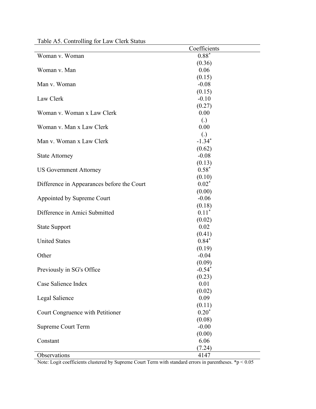|                                            | Coefficients      |
|--------------------------------------------|-------------------|
| Woman v. Woman                             | $0.88*$           |
|                                            | (0.36)            |
| Woman v. Man                               | 0.06              |
|                                            | (0.15)            |
| Man v. Woman                               | $-0.08$           |
|                                            | (0.15)            |
| Law Clerk                                  | $-0.10$           |
|                                            | (0.27)            |
| Woman v. Woman x Law Clerk                 | 0.00              |
|                                            | $\left( .\right)$ |
| Woman v. Man x Law Clerk                   | 0.00              |
|                                            | $\left( .\right)$ |
| Man v. Woman x Law Clerk                   | $-1.34*$          |
|                                            | (0.62)            |
| <b>State Attorney</b>                      | $-0.08$           |
|                                            | (0.13)            |
| <b>US Government Attorney</b>              | $0.58*$           |
|                                            | (0.10)            |
| Difference in Appearances before the Court | $0.02*$           |
|                                            | (0.00)            |
| Appointed by Supreme Court                 | $-0.06$           |
|                                            | (0.18)            |
| Difference in Amici Submitted              | $0.11*$           |
|                                            | (0.02)            |
| <b>State Support</b>                       | 0.02              |
|                                            | (0.41)            |
| <b>United States</b>                       | $0.84*$           |
|                                            | (0.19)            |
| Other                                      | $-0.04$           |
|                                            | (0.09)            |
| Previously in SG's Office                  | $-0.54*$          |
|                                            | (0.23)            |
| Case Salience Index                        | 0.01              |
|                                            | (0.02)            |
| Legal Salience                             | 0.09              |
|                                            | (0.11)            |
| Court Congruence with Petitioner           | $0.20*$           |
|                                            | (0.08)            |
| <b>Supreme Court Term</b>                  | $-0.00$           |
|                                            | (0.00)            |
| Constant                                   | 6.06              |
|                                            | (7.24)            |
| Observations                               | 4147              |

Table A5. Controlling for Law Clerk Status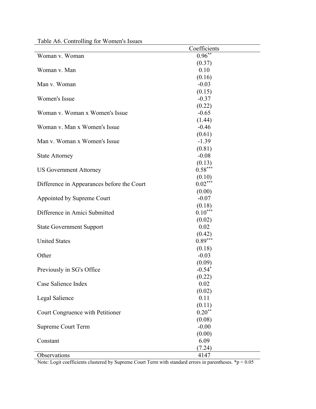|                                            | Coefficients |
|--------------------------------------------|--------------|
| Woman v. Woman                             | $0.96**$     |
|                                            | (0.37)       |
| Woman v. Man                               | 0.10         |
|                                            | (0.16)       |
| Man v. Woman                               | $-0.03$      |
|                                            | (0.15)       |
| Women's Issue                              | $-0.37$      |
|                                            | (0.22)       |
| Woman v. Woman x Women's Issue             | $-0.65$      |
|                                            | (1.44)       |
| Woman v. Man x Women's Issue               | $-0.46$      |
|                                            | (0.61)       |
| Man v. Woman x Women's Issue               | $-1.39$      |
|                                            | (0.81)       |
| <b>State Attorney</b>                      | $-0.08$      |
|                                            | (0.13)       |
| <b>US Government Attorney</b>              | $0.58***$    |
|                                            | (0.10)       |
| Difference in Appearances before the Court | $0.02***$    |
|                                            | (0.00)       |
| Appointed by Supreme Court                 | $-0.07$      |
|                                            | (0.18)       |
| Difference in Amici Submitted              | $0.10***$    |
|                                            | (0.02)       |
| <b>State Government Support</b>            | 0.02         |
|                                            | (0.42)       |
| <b>United States</b>                       | $0.89***$    |
|                                            | (0.18)       |
| Other                                      | $-0.03$      |
|                                            | (0.09)       |
| Previously in SG's Office                  | $-0.54*$     |
|                                            | (0.22)       |
| Case Salience Index                        | 0.02         |
|                                            | (0.02)       |
| Legal Salience                             | 0.11         |
|                                            | (0.11)       |
| Court Congruence with Petitioner           | $0.20**$     |
|                                            | (0.08)       |
| <b>Supreme Court Term</b>                  | $-0.00$      |
|                                            | (0.00)       |
| Constant                                   | 6.09         |
|                                            | (7.24)       |
| Observations                               | 4147         |
|                                            |              |

Table A6. Controlling for Women's Issues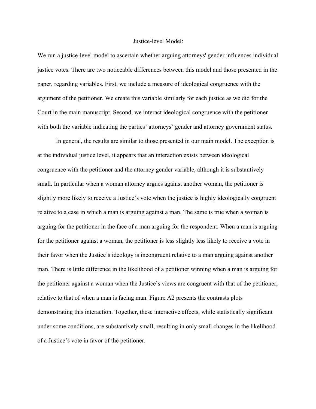## Justice-level Model:

We run a justice-level model to ascertain whether arguing attorneys' gender influences individual justice votes. There are two noticeable differences between this model and those presented in the paper, regarding variables. First, we include a measure of ideological congruence with the argument of the petitioner. We create this variable similarly for each justice as we did for the Court in the main manuscript. Second, we interact ideological congruence with the petitioner with both the variable indicating the parties' attorneys' gender and attorney government status.

In general, the results are similar to those presented in our main model. The exception is at the individual justice level, it appears that an interaction exists between ideological congruence with the petitioner and the attorney gender variable, although it is substantively small. In particular when a woman attorney argues against another woman, the petitioner is slightly more likely to receive a Justice's vote when the justice is highly ideologically congruent relative to a case in which a man is arguing against a man. The same is true when a woman is arguing for the petitioner in the face of a man arguing for the respondent. When a man is arguing for the petitioner against a woman, the petitioner is less slightly less likely to receive a vote in their favor when the Justice's ideology is incongruent relative to a man arguing against another man. There is little difference in the likelihood of a petitioner winning when a man is arguing for the petitioner against a woman when the Justice's views are congruent with that of the petitioner, relative to that of when a man is facing man. Figure A2 presents the contrasts plots demonstrating this interaction. Together, these interactive effects, while statistically significant under some conditions, are substantively small, resulting in only small changes in the likelihood of a Justice's vote in favor of the petitioner.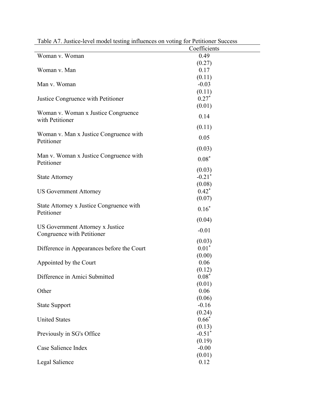| raone <i>ive</i> , sustice fever moder testing influences on voting for i cuttoner success |                      |
|--------------------------------------------------------------------------------------------|----------------------|
|                                                                                            | Coefficients         |
| Woman v. Woman                                                                             | 0.49                 |
|                                                                                            | (0.27)               |
| Woman v. Man                                                                               | 0.17                 |
|                                                                                            | (0.11)               |
| Man v. Woman                                                                               | $-0.03$              |
|                                                                                            | (0.11)               |
| Justice Congruence with Petitioner                                                         | $0.27*$              |
|                                                                                            | (0.01)               |
| Woman v. Woman x Justice Congruence                                                        |                      |
| with Petitioner                                                                            | 0.14                 |
|                                                                                            | (0.11)               |
|                                                                                            |                      |
| Woman v. Man x Justice Congruence with<br>Petitioner                                       | 0.05                 |
|                                                                                            |                      |
|                                                                                            | (0.03)               |
| Man v. Woman x Justice Congruence with                                                     | $0.08*$              |
| Petitioner                                                                                 |                      |
|                                                                                            | (0.03)               |
| <b>State Attorney</b>                                                                      | $-0.21*$             |
|                                                                                            | (0.08)               |
| <b>US Government Attorney</b>                                                              | $0.42*$              |
|                                                                                            | (0.07)               |
| State Attorney x Justice Congruence with                                                   | $0.16*$              |
| Petitioner                                                                                 |                      |
|                                                                                            | (0.04)               |
| US Government Attorney x Justice                                                           |                      |
| Congruence with Petitioner                                                                 | $-0.01$              |
|                                                                                            | (0.03)               |
| Difference in Appearances before the Court                                                 | $0.01*$              |
|                                                                                            | (0.00)               |
| Appointed by the Court                                                                     | 0.06                 |
|                                                                                            | (0.12)               |
| Difference in Amici Submitted                                                              | $0.08*$              |
|                                                                                            | (0.01)               |
| Other                                                                                      | 0.06                 |
|                                                                                            | (0.06)               |
|                                                                                            | $-0.16$              |
| <b>State Support</b>                                                                       |                      |
| <b>United States</b>                                                                       | (0.24)               |
|                                                                                            | $0.66*$              |
|                                                                                            | (0.13)               |
| Previously in SG's Office                                                                  | $-0.51$ <sup>*</sup> |
|                                                                                            | (0.19)               |
| Case Salience Index                                                                        | $-0.00$              |
|                                                                                            | (0.01)               |
| Legal Salience                                                                             | 0.12                 |

Table A7. Justice-level model testing influences on voting for Petitioner Success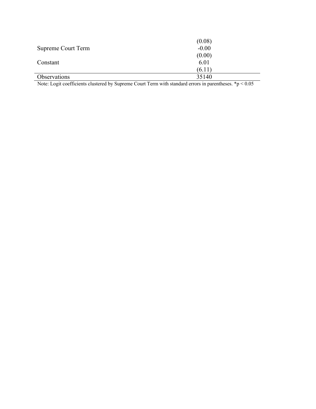|                    | (0.08)  |
|--------------------|---------|
| Supreme Court Term | $-0.00$ |
|                    | (0.00)  |
| Constant           | 6.01    |
|                    | (6.11)  |
| Observations       | 35140   |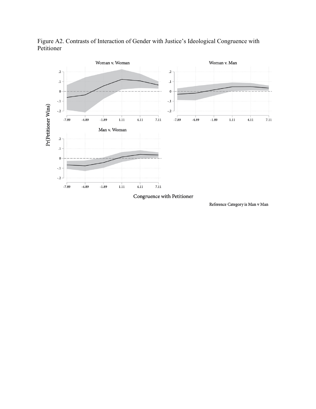

Figure A2. Contrasts of Interaction of Gender with Justice's Ideological Congruence with Petitioner

Congruence with Petitioner

Reference Category is Man v Man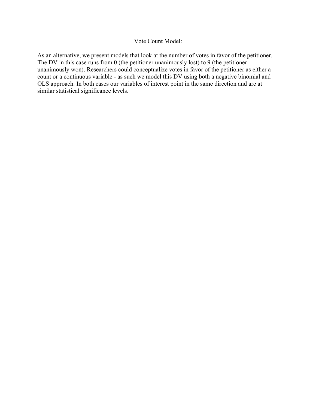## Vote Count Model:

As an alternative, we present models that look at the number of votes in favor of the petitioner. The DV in this case runs from 0 (the petitioner unanimously lost) to 9 (the petitioner unanimously won). Researchers could conceptualize votes in favor of the petitioner as either a count or a continuous variable - as such we model this DV using both a negative binomial and OLS approach. In both cases our variables of interest point in the same direction and are at similar statistical significance levels.